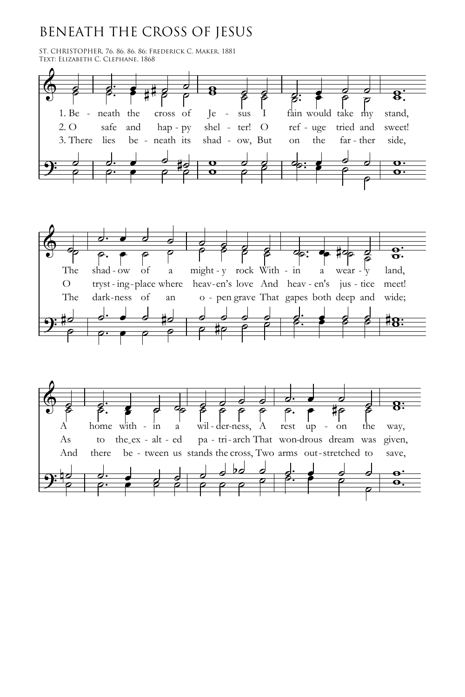## BENEATH THE CROSS OF JESUS

ST. CHRISTOPHER, 76. 86. 86. 86; FREDERICK C. MAKER, 1881<br>Text: Elizabeth C. Clephane, 1868